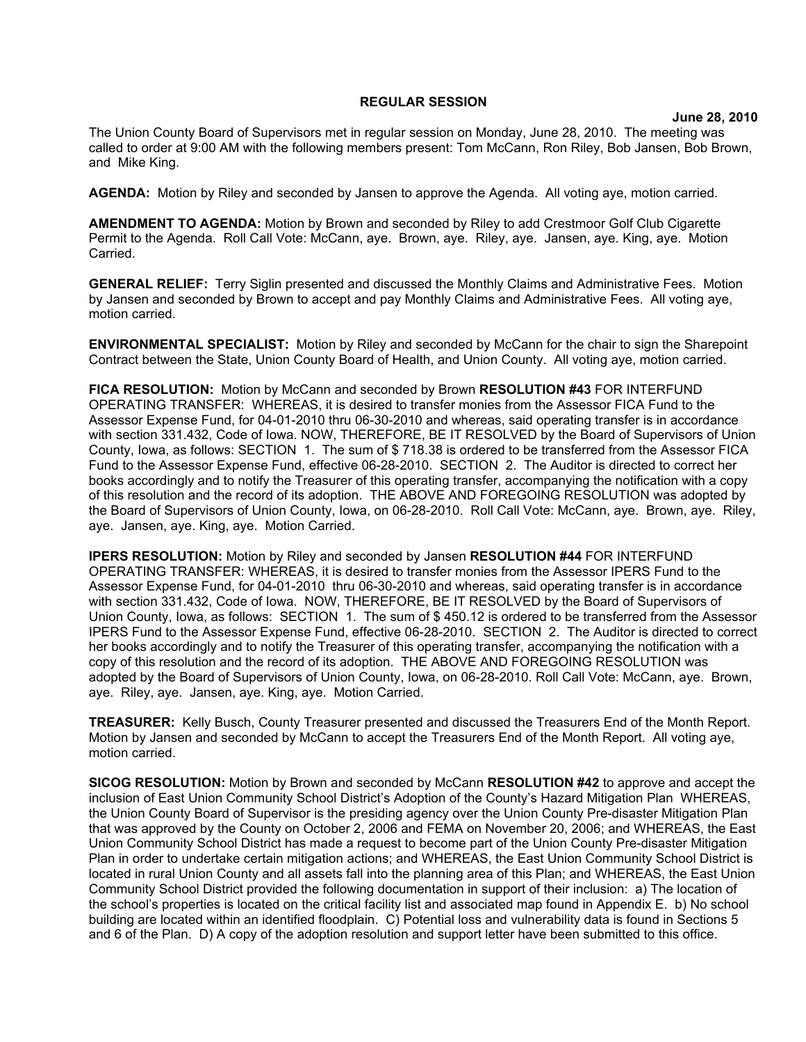## **REGULAR SESSION**

**June 28, 2010**

The Union County Board of Supervisors met in regular session on Monday, June 28, 2010. The meeting was called to order at 9:00 AM with the following members present: Tom McCann, Ron Riley, Bob Jansen, Bob Brown, and Mike King.

**AGENDA:** Motion by Riley and seconded by Jansen to approve the Agenda. All voting aye, motion carried.

**AMENDMENT TO AGENDA:** Motion by Brown and seconded by Riley to add Crestmoor Golf Club Cigarette Permit to the Agenda. Roll Call Vote: McCann, aye. Brown, aye. Riley, aye. Jansen, aye. King, aye. Motion Carried.

**GENERAL RELIEF:** Terry Siglin presented and discussed the Monthly Claims and Administrative Fees. Motion by Jansen and seconded by Brown to accept and pay Monthly Claims and Administrative Fees. All voting aye, motion carried.

**ENVIRONMENTAL SPECIALIST:** Motion by Riley and seconded by McCann for the chair to sign the Sharepoint Contract between the State, Union County Board of Health, and Union County. All voting aye, motion carried.

**FICA RESOLUTION:** Motion by McCann and seconded by Brown **RESOLUTION #43** FOR INTERFUND OPERATING TRANSFER: WHEREAS, it is desired to transfer monies from the Assessor FICA Fund to the Assessor Expense Fund, for 04-01-2010 thru 06-30-2010 and whereas, said operating transfer is in accordance with section 331.432, Code of Iowa. NOW, THEREFORE, BE IT RESOLVED by the Board of Supervisors of Union County, Iowa, as follows: SECTION 1. The sum of \$ 718.38 is ordered to be transferred from the Assessor FICA Fund to the Assessor Expense Fund, effective 06-28-2010. SECTION 2. The Auditor is directed to correct her books accordingly and to notify the Treasurer of this operating transfer, accompanying the notification with a copy of this resolution and the record of its adoption. THE ABOVE AND FOREGOING RESOLUTION was adopted by the Board of Supervisors of Union County, Iowa, on 06-28-2010. Roll Call Vote: McCann, aye. Brown, aye. Riley, aye. Jansen, aye. King, aye. Motion Carried.

**IPERS RESOLUTION:** Motion by Riley and seconded by Jansen **RESOLUTION #44** FOR INTERFUND OPERATING TRANSFER: WHEREAS, it is desired to transfer monies from the Assessor IPERS Fund to the Assessor Expense Fund, for 04-01-2010 thru 06-30-2010 and whereas, said operating transfer is in accordance with section 331.432, Code of Iowa. NOW, THEREFORE, BE IT RESOLVED by the Board of Supervisors of Union County, Iowa, as follows: SECTION 1. The sum of \$ 450.12 is ordered to be transferred from the Assessor IPERS Fund to the Assessor Expense Fund, effective 06-28-2010. SECTION 2. The Auditor is directed to correct her books accordingly and to notify the Treasurer of this operating transfer, accompanying the notification with a copy of this resolution and the record of its adoption. THE ABOVE AND FOREGOING RESOLUTION was adopted by the Board of Supervisors of Union County, Iowa, on 06-28-2010. Roll Call Vote: McCann, aye. Brown, aye. Riley, aye. Jansen, aye. King, aye. Motion Carried.

**TREASURER:** Kelly Busch, County Treasurer presented and discussed the Treasurers End of the Month Report. Motion by Jansen and seconded by McCann to accept the Treasurers End of the Month Report. All voting aye, motion carried.

**SICOG RESOLUTION:** Motion by Brown and seconded by McCann **RESOLUTION #42** to approve and accept the inclusion of East Union Community School District's Adoption of the County's Hazard Mitigation Plan WHEREAS, the Union County Board of Supervisor is the presiding agency over the Union County Pre-disaster Mitigation Plan that was approved by the County on October 2, 2006 and FEMA on November 20, 2006; and WHEREAS, the East Union Community School District has made a request to become part of the Union County Pre-disaster Mitigation Plan in order to undertake certain mitigation actions; and WHEREAS, the East Union Community School District is located in rural Union County and all assets fall into the planning area of this Plan; and WHEREAS, the East Union Community School District provided the following documentation in support of their inclusion: a) The location of the school's properties is located on the critical facility list and associated map found in Appendix E. b) No school building are located within an identified floodplain. C) Potential loss and vulnerability data is found in Sections 5 and 6 of the Plan. D) A copy of the adoption resolution and support letter have been submitted to this office.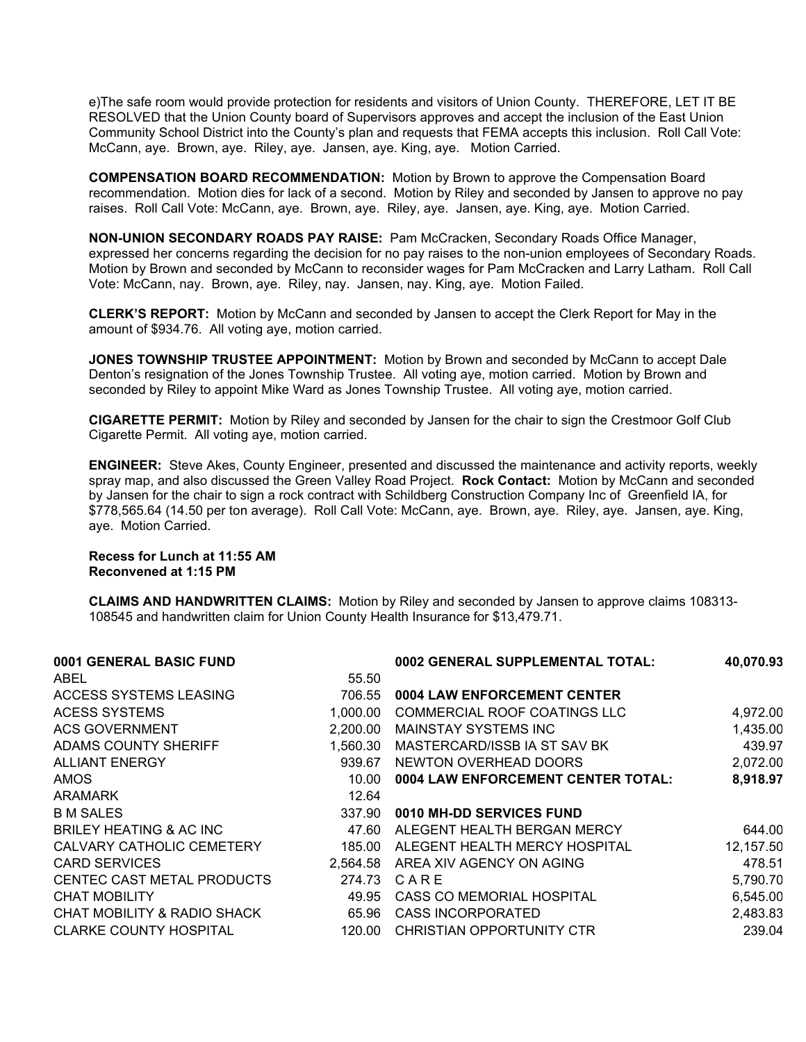e)The safe room would provide protection for residents and visitors of Union County. THEREFORE, LET IT BE RESOLVED that the Union County board of Supervisors approves and accept the inclusion of the East Union Community School District into the County's plan and requests that FEMA accepts this inclusion. Roll Call Vote: McCann, aye. Brown, aye. Riley, aye. Jansen, aye. King, aye. Motion Carried.

**COMPENSATION BOARD RECOMMENDATION:** Motion by Brown to approve the Compensation Board recommendation. Motion dies for lack of a second. Motion by Riley and seconded by Jansen to approve no pay raises. Roll Call Vote: McCann, aye. Brown, aye. Riley, aye. Jansen, aye. King, aye. Motion Carried.

**NON-UNION SECONDARY ROADS PAY RAISE:** Pam McCracken, Secondary Roads Office Manager, expressed her concerns regarding the decision for no pay raises to the non-union employees of Secondary Roads. Motion by Brown and seconded by McCann to reconsider wages for Pam McCracken and Larry Latham. Roll Call Vote: McCann, nay. Brown, aye. Riley, nay. Jansen, nay. King, aye. Motion Failed.

**CLERK'S REPORT:** Motion by McCann and seconded by Jansen to accept the Clerk Report for May in the amount of \$934.76. All voting aye, motion carried.

**JONES TOWNSHIP TRUSTEE APPOINTMENT:** Motion by Brown and seconded by McCann to accept Dale Denton's resignation of the Jones Township Trustee. All voting aye, motion carried. Motion by Brown and seconded by Riley to appoint Mike Ward as Jones Township Trustee. All voting aye, motion carried.

**CIGARETTE PERMIT:** Motion by Riley and seconded by Jansen for the chair to sign the Crestmoor Golf Club Cigarette Permit. All voting aye, motion carried.

**ENGINEER:** Steve Akes, County Engineer, presented and discussed the maintenance and activity reports, weekly spray map, and also discussed the Green Valley Road Project. **Rock Contact:** Motion by McCann and seconded by Jansen for the chair to sign a rock contract with Schildberg Construction Company Inc of Greenfield IA, for \$778,565.64 (14.50 per ton average). Roll Call Vote: McCann, aye. Brown, aye. Riley, aye. Jansen, aye. King, aye. Motion Carried.

## **Recess for Lunch at 11:55 AM Reconvened at 1:15 PM**

**CLAIMS AND HANDWRITTEN CLAIMS:** Motion by Riley and seconded by Jansen to approve claims 108313- 108545 and handwritten claim for Union County Health Insurance for \$13,479.71.

| 0001 GENERAL BASIC FUND                         | 0002 GENERAL SUPPLEMENTAL TOTAL:   | 40,070.93 |
|-------------------------------------------------|------------------------------------|-----------|
| ABEL<br>55.50                                   |                                    |           |
| ACCESS SYSTEMS LEASING<br>706.55                | 0004 LAW ENFORCEMENT CENTER        |           |
| <b>ACESS SYSTEMS</b><br>1.000.00                | COMMERCIAL ROOF COATINGS LLC       | 4,972.00  |
| <b>ACS GOVERNMENT</b><br>2,200.00               | <b>MAINSTAY SYSTEMS INC</b>        | 1,435.00  |
| ADAMS COUNTY SHERIFF<br>1,560.30                | MASTERCARD/ISSB IA ST SAV BK       | 439.97    |
| <b>ALLIANT ENERGY</b><br>939.67                 | NEWTON OVERHEAD DOORS              | 2,072.00  |
| AMOS.<br>10.00                                  | 0004 LAW ENFORCEMENT CENTER TOTAL: | 8,918.97  |
| <b>ARAMARK</b><br>12.64                         |                                    |           |
| <b>B M SALES</b><br>337.90                      | 0010 MH-DD SERVICES FUND           |           |
| BRILEY HEATING & AC INC<br>47.60                | ALEGENT HEALTH BERGAN MERCY        | 644.00    |
| CALVARY CATHOLIC CEMETERY<br>185.00             | ALEGENT HEALTH MERCY HOSPITAL      | 12,157.50 |
| CARD SERVICES<br>2.564.58                       | AREA XIV AGENCY ON AGING           | 478.51    |
| CENTEC CAST METAL PRODUCTS<br>274.73            | CARE                               | 5,790.70  |
| <b>CHAT MOBILITY</b><br>49.95                   | CASS CO MEMORIAL HOSPITAL          | 6,545.00  |
| <b>CHAT MOBILITY &amp; RADIO SHACK</b><br>65.96 | <b>CASS INCORPORATED</b>           | 2,483.83  |
| <b>CLARKE COUNTY HOSPITAL</b><br>120.00         | CHRISTIAN OPPORTUNITY CTR          | 239.04    |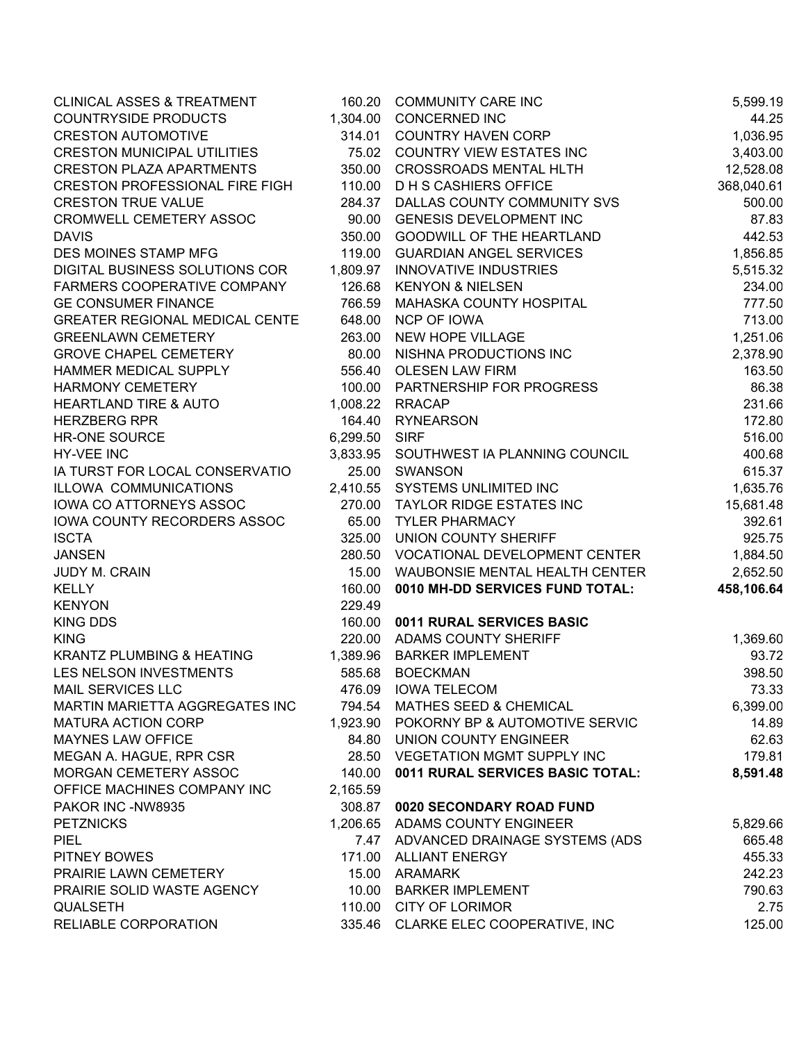| <b>CLINICAL ASSES &amp; TREATMENT</b> |               | 160.20 COMMUNITY CARE INC               | 5,599.19   |
|---------------------------------------|---------------|-----------------------------------------|------------|
| <b>COUNTRYSIDE PRODUCTS</b>           | 1,304.00      | <b>CONCERNED INC</b>                    | 44.25      |
| <b>CRESTON AUTOMOTIVE</b>             | 314.01        | <b>COUNTRY HAVEN CORP</b>               | 1,036.95   |
| <b>CRESTON MUNICIPAL UTILITIES</b>    |               | 75.02 COUNTRY VIEW ESTATES INC          | 3,403.00   |
| <b>CRESTON PLAZA APARTMENTS</b>       | 350.00        | <b>CROSSROADS MENTAL HLTH</b>           | 12,528.08  |
| <b>CRESTON PROFESSIONAL FIRE FIGH</b> | 110.00        | <b>DHS CASHIERS OFFICE</b>              | 368,040.61 |
| <b>CRESTON TRUE VALUE</b>             | 284.37        | DALLAS COUNTY COMMUNITY SVS             | 500.00     |
| CROMWELL CEMETERY ASSOC               | 90.00         | <b>GENESIS DEVELOPMENT INC</b>          | 87.83      |
| <b>DAVIS</b>                          | 350.00        | <b>GOODWILL OF THE HEARTLAND</b>        | 442.53     |
| DES MOINES STAMP MFG                  | 119.00        | <b>GUARDIAN ANGEL SERVICES</b>          | 1,856.85   |
| DIGITAL BUSINESS SOLUTIONS COR        | 1,809.97      | <b>INNOVATIVE INDUSTRIES</b>            | 5,515.32   |
| FARMERS COOPERATIVE COMPANY           | 126.68        | <b>KENYON &amp; NIELSEN</b>             | 234.00     |
| <b>GE CONSUMER FINANCE</b>            | 766.59        | MAHASKA COUNTY HOSPITAL                 | 777.50     |
| <b>GREATER REGIONAL MEDICAL CENTE</b> | 648.00        | <b>NCP OF IOWA</b>                      | 713.00     |
| <b>GREENLAWN CEMETERY</b>             | 263.00        | NEW HOPE VILLAGE                        | 1,251.06   |
| <b>GROVE CHAPEL CEMETERY</b>          | 80.00         | NISHNA PRODUCTIONS INC                  | 2,378.90   |
| HAMMER MEDICAL SUPPLY                 | 556.40        | <b>OLESEN LAW FIRM</b>                  | 163.50     |
| <b>HARMONY CEMETERY</b>               | 100.00        | PARTNERSHIP FOR PROGRESS                | 86.38      |
| <b>HEARTLAND TIRE &amp; AUTO</b>      | 1,008.22      | <b>RRACAP</b>                           | 231.66     |
| <b>HERZBERG RPR</b>                   | 164.40        | <b>RYNEARSON</b>                        | 172.80     |
| <b>HR-ONE SOURCE</b>                  | 6,299.50 SIRF |                                         | 516.00     |
| <b>HY-VEE INC</b>                     |               | 3,833.95 SOUTHWEST IA PLANNING COUNCIL  | 400.68     |
| IA TURST FOR LOCAL CONSERVATIO        |               | 25.00 SWANSON                           | 615.37     |
| ILLOWA COMMUNICATIONS                 |               | 2,410.55 SYSTEMS UNLIMITED INC          | 1,635.76   |
| IOWA CO ATTORNEYS ASSOC               | 270.00        | <b>TAYLOR RIDGE ESTATES INC</b>         | 15,681.48  |
| IOWA COUNTY RECORDERS ASSOC           | 65.00         | <b>TYLER PHARMACY</b>                   | 392.61     |
| <b>ISCTA</b>                          | 325.00        | UNION COUNTY SHERIFF                    | 925.75     |
| <b>JANSEN</b>                         | 280.50        | VOCATIONAL DEVELOPMENT CENTER           | 1,884.50   |
| JUDY M. CRAIN                         | 15.00         | WAUBONSIE MENTAL HEALTH CENTER          | 2,652.50   |
| <b>KELLY</b>                          | 160.00        | 0010 MH-DD SERVICES FUND TOTAL:         | 458,106.64 |
| <b>KENYON</b>                         | 229.49        |                                         |            |
| <b>KING DDS</b>                       | 160.00        | 0011 RURAL SERVICES BASIC               |            |
| <b>KING</b>                           | 220.00        | <b>ADAMS COUNTY SHERIFF</b>             | 1,369.60   |
| <b>KRANTZ PLUMBING &amp; HEATING</b>  | 1,389.96      | <b>BARKER IMPLEMENT</b>                 | 93.72      |
| LES NELSON INVESTMENTS                | 585.68        | <b>BOECKMAN</b>                         | 398.50     |
| MAIL SERVICES LLC                     | 476.09        | <b>IOWA TELECOM</b>                     | 73.33      |
| MARTIN MARIETTA AGGREGATES INC        | 794.54        | MATHES SEED & CHEMICAL                  | 6,399.00   |
| <b>MATURA ACTION CORP</b>             |               | 1,923.90 POKORNY BP & AUTOMOTIVE SERVIC | 14.89      |
| MAYNES LAW OFFICE                     | 84.80         | <b>UNION COUNTY ENGINEER</b>            | 62.63      |
| MEGAN A. HAGUE, RPR CSR               | 28.50         | <b>VEGETATION MGMT SUPPLY INC</b>       | 179.81     |
| MORGAN CEMETERY ASSOC                 | 140.00        | 0011 RURAL SERVICES BASIC TOTAL:        | 8,591.48   |
| OFFICE MACHINES COMPANY INC           | 2,165.59      |                                         |            |
| PAKOR INC -NW8935                     | 308.87        | 0020 SECONDARY ROAD FUND                |            |
| <b>PETZNICKS</b>                      |               | 1,206.65 ADAMS COUNTY ENGINEER          | 5,829.66   |
| <b>PIEL</b>                           |               | 7.47 ADVANCED DRAINAGE SYSTEMS (ADS     | 665.48     |
| PITNEY BOWES                          |               | 171.00 ALLIANT ENERGY                   | 455.33     |
| PRAIRIE LAWN CEMETERY                 |               | 15.00 ARAMARK                           | 242.23     |
| PRAIRIE SOLID WASTE AGENCY            | 10.00         | <b>BARKER IMPLEMENT</b>                 | 790.63     |
| <b>QUALSETH</b>                       |               | 110.00 CITY OF LORIMOR                  | 2.75       |
| RELIABLE CORPORATION                  |               | 335.46 CLARKE ELEC COOPERATIVE, INC     | 125.00     |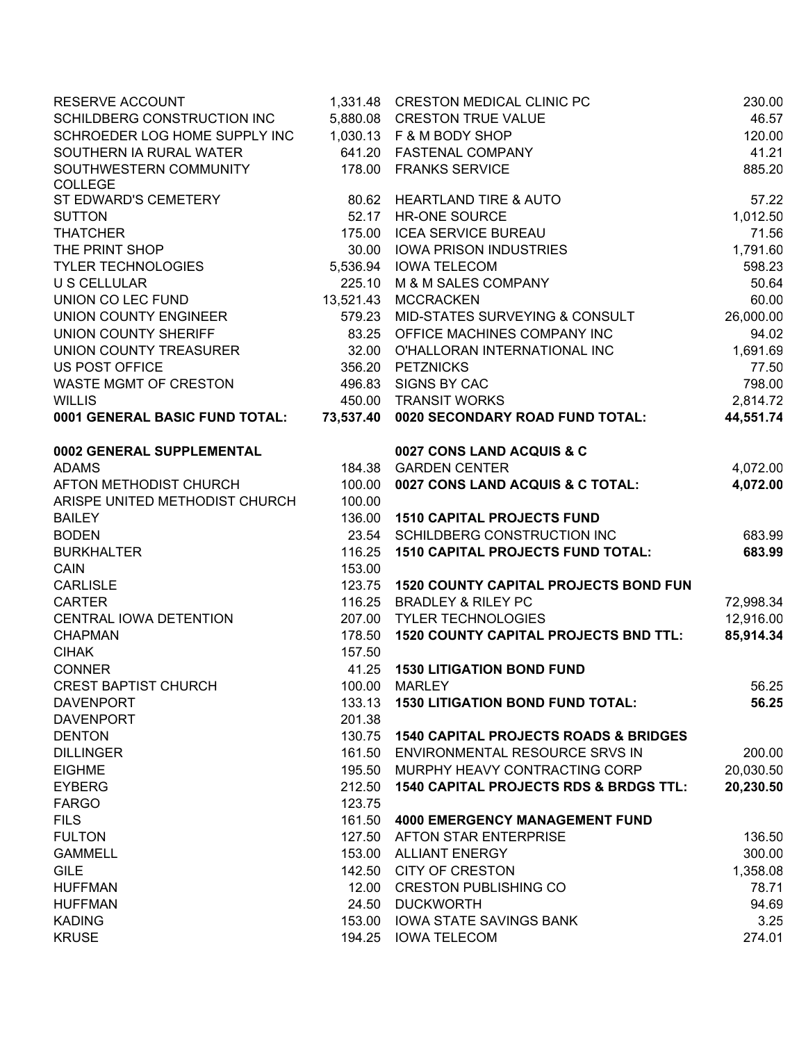| RESERVE ACCOUNT                          |        | 1,331.48 CRESTON MEDICAL CLINIC PC                | 230.00    |
|------------------------------------------|--------|---------------------------------------------------|-----------|
| SCHILDBERG CONSTRUCTION INC              |        | 5,880.08 CRESTON TRUE VALUE                       | 46.57     |
| SCHROEDER LOG HOME SUPPLY INC            |        | 1,030.13 F & M BODY SHOP                          | 120.00    |
| SOUTHERN IA RURAL WATER                  |        | 641.20 FASTENAL COMPANY                           | 41.21     |
| SOUTHWESTERN COMMUNITY                   |        | 178.00 FRANKS SERVICE                             | 885.20    |
| <b>COLLEGE</b>                           |        |                                                   |           |
| ST EDWARD'S CEMETERY                     |        | 80.62 HEARTLAND TIRE & AUTO                       | 57.22     |
| <b>SUTTON</b>                            | 52.17  | <b>HR-ONE SOURCE</b>                              | 1,012.50  |
| <b>THATCHER</b>                          |        | 175.00 ICEA SERVICE BUREAU                        | 71.56     |
| THE PRINT SHOP                           |        | 30.00 IOWA PRISON INDUSTRIES                      | 1,791.60  |
| <b>TYLER TECHNOLOGIES</b>                |        | 5,536.94 IOWA TELECOM                             | 598.23    |
| <b>U S CELLULAR</b>                      | 225.10 | M & M SALES COMPANY                               | 50.64     |
| UNION CO LEC FUND                        |        | 13,521.43 MCCRACKEN                               | 60.00     |
| UNION COUNTY ENGINEER                    | 579.23 | MID-STATES SURVEYING & CONSULT                    | 26,000.00 |
| UNION COUNTY SHERIFF                     | 83.25  | OFFICE MACHINES COMPANY INC                       | 94.02     |
| UNION COUNTY TREASURER                   | 32.00  | O'HALLORAN INTERNATIONAL INC                      | 1,691.69  |
| <b>US POST OFFICE</b>                    |        | 356.20 PETZNICKS                                  | 77.50     |
| WASTE MGMT OF CRESTON                    | 496.83 | SIGNS BY CAC                                      | 798.00    |
| <b>WILLIS</b>                            |        | 450.00 TRANSIT WORKS                              | 2,814.72  |
| 0001 GENERAL BASIC FUND TOTAL:           |        | 73,537.40 0020 SECONDARY ROAD FUND TOTAL:         | 44,551.74 |
| 0002 GENERAL SUPPLEMENTAL                |        | 0027 CONS LAND ACQUIS & C                         |           |
| <b>ADAMS</b>                             |        | 184.38 GARDEN CENTER                              | 4,072.00  |
| AFTON METHODIST CHURCH                   | 100.00 | 0027 CONS LAND ACQUIS & C TOTAL:                  | 4,072.00  |
| ARISPE UNITED METHODIST CHURCH           | 100.00 |                                                   |           |
| <b>BAILEY</b>                            | 136.00 | <b>1510 CAPITAL PROJECTS FUND</b>                 |           |
| <b>BODEN</b>                             | 23.54  | SCHILDBERG CONSTRUCTION INC                       | 683.99    |
| <b>BURKHALTER</b>                        | 116.25 | <b>1510 CAPITAL PROJECTS FUND TOTAL:</b>          | 683.99    |
| <b>CAIN</b>                              | 153.00 |                                                   |           |
| <b>CARLISLE</b>                          | 123.75 | <b>1520 COUNTY CAPITAL PROJECTS BOND FUN</b>      |           |
| <b>CARTER</b>                            | 116.25 | <b>BRADLEY &amp; RILEY PC</b>                     | 72,998.34 |
|                                          | 207.00 |                                                   | 12,916.00 |
| CENTRAL IOWA DETENTION<br><b>CHAPMAN</b> |        | <b>TYLER TECHNOLOGIES</b>                         |           |
|                                          | 178.50 | <b>1520 COUNTY CAPITAL PROJECTS BND TTL:</b>      | 85,914.34 |
| <b>CIHAK</b>                             | 157.50 |                                                   |           |
| <b>CONNER</b>                            | 41.25  | <b>1530 LITIGATION BOND FUND</b>                  | 56.25     |
| <b>CREST BAPTIST CHURCH</b>              | 100.00 | <b>MARLEY</b>                                     |           |
| <b>DAVENPORT</b>                         | 133.13 | <b>1530 LITIGATION BOND FUND TOTAL:</b>           | 56.25     |
| <b>DAVENPORT</b>                         | 201.38 |                                                   |           |
| <b>DENTON</b>                            | 130.75 | <b>1540 CAPITAL PROJECTS ROADS &amp; BRIDGES</b>  |           |
| <b>DILLINGER</b>                         | 161.50 | ENVIRONMENTAL RESOURCE SRVS IN                    | 200.00    |
| <b>EIGHME</b>                            | 195.50 | MURPHY HEAVY CONTRACTING CORP                     | 20,030.50 |
| <b>EYBERG</b>                            | 212.50 | <b>1540 CAPITAL PROJECTS RDS &amp; BRDGS TTL:</b> | 20,230.50 |
| <b>FARGO</b>                             | 123.75 |                                                   |           |
| <b>FILS</b>                              | 161.50 | <b>4000 EMERGENCY MANAGEMENT FUND</b>             |           |
| <b>FULTON</b>                            | 127.50 | AFTON STAR ENTERPRISE                             | 136.50    |
| <b>GAMMELL</b>                           | 153.00 | <b>ALLIANT ENERGY</b>                             | 300.00    |
| <b>GILE</b>                              | 142.50 | <b>CITY OF CRESTON</b>                            | 1,358.08  |
| <b>HUFFMAN</b>                           | 12.00  | <b>CRESTON PUBLISHING CO</b>                      | 78.71     |
| <b>HUFFMAN</b>                           | 24.50  | <b>DUCKWORTH</b>                                  | 94.69     |
| <b>KADING</b>                            | 153.00 | <b>IOWA STATE SAVINGS BANK</b>                    | 3.25      |
| <b>KRUSE</b>                             | 194.25 | <b>IOWA TELECOM</b>                               | 274.01    |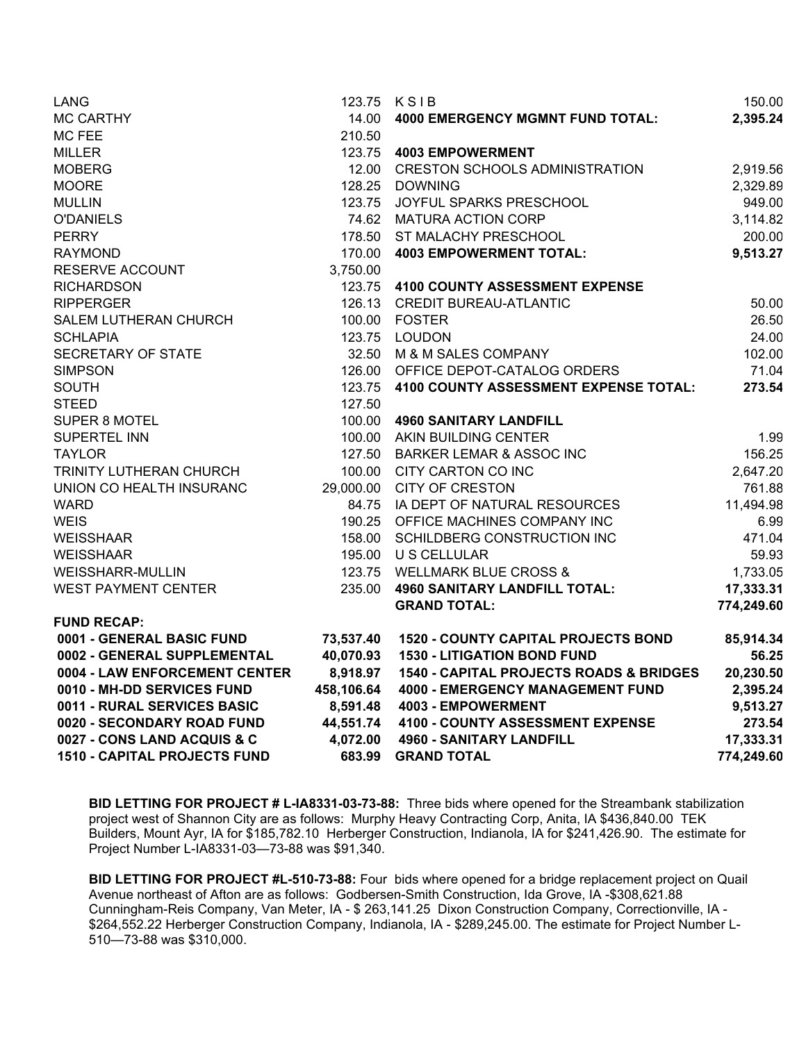| LANG                                |            | 123.75 KSIB                                        | 150.00     |
|-------------------------------------|------------|----------------------------------------------------|------------|
| <b>MC CARTHY</b>                    | 14.00      | 4000 EMERGENCY MGMNT FUND TOTAL:                   | 2,395.24   |
| MC FEE                              | 210.50     |                                                    |            |
| <b>MILLER</b>                       |            | 123.75  4003 EMPOWERMENT                           |            |
| <b>MOBERG</b>                       |            | 12.00 CRESTON SCHOOLS ADMINISTRATION               | 2,919.56   |
| <b>MOORE</b>                        |            | 128.25 DOWNING                                     | 2,329.89   |
| <b>MULLIN</b>                       |            | 123.75 JOYFUL SPARKS PRESCHOOL                     | 949.00     |
| <b>O'DANIELS</b>                    |            | 74.62 MATURA ACTION CORP                           | 3,114.82   |
| <b>PERRY</b>                        |            | 178.50 ST MALACHY PRESCHOOL                        | 200.00     |
| <b>RAYMOND</b>                      |            | 170.00 4003 EMPOWERMENT TOTAL:                     | 9,513.27   |
| RESERVE ACCOUNT                     | 3,750.00   |                                                    |            |
| <b>RICHARDSON</b>                   |            | 123.75 4100 COUNTY ASSESSMENT EXPENSE              |            |
| <b>RIPPERGER</b>                    |            | 126.13 CREDIT BUREAU-ATLANTIC                      | 50.00      |
| SALEM LUTHERAN CHURCH               |            | 100.00 FOSTER                                      | 26.50      |
| <b>SCHLAPIA</b>                     |            | 123.75 LOUDON                                      | 24.00      |
| SECRETARY OF STATE                  |            | 32.50 M & M SALES COMPANY                          | 102.00     |
| <b>SIMPSON</b>                      |            | 126.00 OFFICE DEPOT-CATALOG ORDERS                 | 71.04      |
| <b>SOUTH</b>                        |            | 123.75 4100 COUNTY ASSESSMENT EXPENSE TOTAL:       | 273.54     |
| <b>STEED</b>                        | 127.50     |                                                    |            |
| <b>SUPER 8 MOTEL</b>                |            | 100.00 4960 SANITARY LANDFILL                      |            |
| <b>SUPERTEL INN</b>                 |            | 100.00 AKIN BUILDING CENTER                        | 1.99       |
| <b>TAYLOR</b>                       |            | 127.50 BARKER LEMAR & ASSOC INC                    | 156.25     |
| TRINITY LUTHERAN CHURCH             |            | 100.00 CITY CARTON CO INC                          | 2,647.20   |
| UNION CO HEALTH INSURANC            |            | 29,000.00 CITY OF CRESTON                          | 761.88     |
| <b>WARD</b>                         |            | 84.75 IA DEPT OF NATURAL RESOURCES                 | 11,494.98  |
| <b>WEIS</b>                         |            | 190.25 OFFICE MACHINES COMPANY INC                 | 6.99       |
| <b>WEISSHAAR</b>                    |            | 158.00 SCHILDBERG CONSTRUCTION INC                 | 471.04     |
| <b>WEISSHAAR</b>                    |            | 195.00 U S CELLULAR                                | 59.93      |
| WEISSHARR-MULLIN                    |            | 123.75 WELLMARK BLUE CROSS &                       | 1,733.05   |
| <b>WEST PAYMENT CENTER</b>          |            | 235.00 4960 SANITARY LANDFILL TOTAL:               | 17,333.31  |
|                                     |            | <b>GRAND TOTAL:</b>                                | 774,249.60 |
| <b>FUND RECAP:</b>                  |            |                                                    |            |
| 0001 - GENERAL BASIC FUND           | 73,537.40  | <b>1520 - COUNTY CAPITAL PROJECTS BOND</b>         | 85,914.34  |
| 0002 - GENERAL SUPPLEMENTAL         | 40,070.93  | <b>1530 - LITIGATION BOND FUND</b>                 | 56.25      |
| 0004 - LAW ENFORCEMENT CENTER       | 8,918.97   | <b>1540 - CAPITAL PROJECTS ROADS &amp; BRIDGES</b> | 20,230.50  |
| 0010 - MH-DD SERVICES FUND          | 458,106.64 | <b>4000 - EMERGENCY MANAGEMENT FUND</b>            | 2,395.24   |
| 0011 - RURAL SERVICES BASIC         | 8,591.48   | 4003 - EMPOWERMENT                                 | 9,513.27   |
| 0020 - SECONDARY ROAD FUND          |            | 44,551.74 4100 - COUNTY ASSESSMENT EXPENSE         | 273.54     |
| 0027 - CONS LAND ACQUIS & C         |            | 4,072.00 4960 - SANITARY LANDFILL                  | 17,333.31  |
| <b>1510 - CAPITAL PROJECTS FUND</b> |            | 683.99 GRAND TOTAL                                 | 774,249.60 |

**BID LETTING FOR PROJECT # L-IA8331-03-73-88:** Three bids where opened for the Streambank stabilization project west of Shannon City are as follows: Murphy Heavy Contracting Corp, Anita, IA \$436,840.00 TEK Builders, Mount Ayr, IA for \$185,782.10 Herberger Construction, Indianola, IA for \$241,426.90. The estimate for Project Number L-IA8331-03—73-88 was \$91,340.

**BID LETTING FOR PROJECT #L-510-73-88:** Four bids where opened for a bridge replacement project on Quail Avenue northeast of Afton are as follows: Godbersen-Smith Construction, Ida Grove, IA -\$308,621.88 Cunningham-Reis Company, Van Meter, IA - \$ 263,141.25 Dixon Construction Company, Correctionville, IA - \$264,552.22 Herberger Construction Company, Indianola, IA - \$289,245.00. The estimate for Project Number L-510—73-88 was \$310,000.